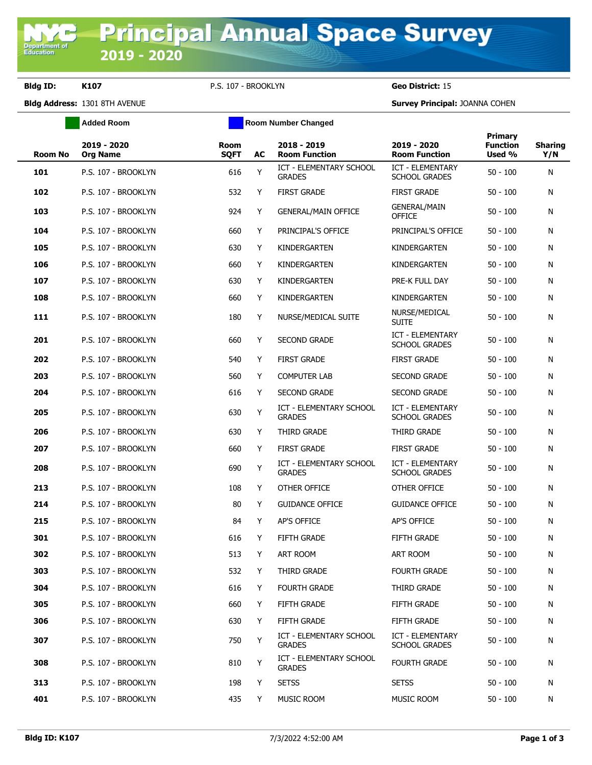## **Bldg ID: K107** P.S. 107 - BROOKLYN **Geo District:** 15

**Department o**<br>Education

**Added Room Room Room Number Changed** 

**Bldg Address:** 1301 8TH AVENUE **Survey Principal:** JOANNA COHEN

|                | 2019 - 2020         | Room        |    | 2018 - 2019                                     | 2019 - 2020                                     | Primary<br><b>Function</b> | <b>Sharing</b> |
|----------------|---------------------|-------------|----|-------------------------------------------------|-------------------------------------------------|----------------------------|----------------|
| <b>Room No</b> | <b>Org Name</b>     | <b>SQFT</b> | AC | <b>Room Function</b>                            | <b>Room Function</b>                            | Used %                     | Y/N            |
| 101            | P.S. 107 - BROOKLYN | 616         | Y  | ICT - ELEMENTARY SCHOOL<br><b>GRADES</b>        | <b>ICT - ELEMENTARY</b><br><b>SCHOOL GRADES</b> | $50 - 100$                 | N              |
| 102            | P.S. 107 - BROOKLYN | 532         | Y  | <b>FIRST GRADE</b>                              | <b>FIRST GRADE</b>                              | $50 - 100$                 | N              |
| 103            | P.S. 107 - BROOKLYN | 924         | Y  | <b>GENERAL/MAIN OFFICE</b>                      | <b>GENERAL/MAIN</b><br><b>OFFICE</b>            | $50 - 100$                 | N              |
| 104            | P.S. 107 - BROOKLYN | 660         | Y  | PRINCIPAL'S OFFICE                              | PRINCIPAL'S OFFICE                              | $50 - 100$                 | N              |
| 105            | P.S. 107 - BROOKLYN | 630         | Y  | KINDERGARTEN                                    | KINDERGARTEN                                    | $50 - 100$                 | N              |
| 106            | P.S. 107 - BROOKLYN | 660         | Y  | KINDERGARTEN                                    | KINDERGARTEN                                    | $50 - 100$                 | N              |
| 107            | P.S. 107 - BROOKLYN | 630         | Y  | KINDERGARTEN                                    | PRE-K FULL DAY                                  | $50 - 100$                 | N              |
| 108            | P.S. 107 - BROOKLYN | 660         | Y  | KINDERGARTEN                                    | KINDERGARTEN                                    | $50 - 100$                 | N              |
| 111            | P.S. 107 - BROOKLYN | 180         | Y  | NURSE/MEDICAL SUITE                             | NURSE/MEDICAL<br><b>SUITE</b>                   | $50 - 100$                 | N              |
| 201            | P.S. 107 - BROOKLYN | 660         | Y  | <b>SECOND GRADE</b>                             | <b>ICT - ELEMENTARY</b><br><b>SCHOOL GRADES</b> | $50 - 100$                 | N              |
| 202            | P.S. 107 - BROOKLYN | 540         | Y  | <b>FIRST GRADE</b>                              | <b>FIRST GRADE</b>                              | $50 - 100$                 | N              |
| 203            | P.S. 107 - BROOKLYN | 560         | Y  | <b>COMPUTER LAB</b>                             | <b>SECOND GRADE</b>                             | $50 - 100$                 | N              |
| 204            | P.S. 107 - BROOKLYN | 616         | Y  | <b>SECOND GRADE</b>                             | <b>SECOND GRADE</b>                             | $50 - 100$                 | N              |
| 205            | P.S. 107 - BROOKLYN | 630         | Y  | <b>ICT - ELEMENTARY SCHOOL</b><br><b>GRADES</b> | ICT - ELEMENTARY<br><b>SCHOOL GRADES</b>        | $50 - 100$                 | N              |
| 206            | P.S. 107 - BROOKLYN | 630         | Y  | THIRD GRADE                                     | THIRD GRADE                                     | $50 - 100$                 | N              |
| 207            | P.S. 107 - BROOKLYN | 660         | Y  | <b>FIRST GRADE</b>                              | <b>FIRST GRADE</b>                              | $50 - 100$                 | N              |
| 208            | P.S. 107 - BROOKLYN | 690         | Υ  | <b>ICT - ELEMENTARY SCHOOL</b><br><b>GRADES</b> | <b>ICT - ELEMENTARY</b><br><b>SCHOOL GRADES</b> | $50 - 100$                 | N              |
| 213            | P.S. 107 - BROOKLYN | 108         | Y  | OTHER OFFICE                                    | OTHER OFFICE                                    | $50 - 100$                 | N              |
| 214            | P.S. 107 - BROOKLYN | 80          | Y  | <b>GUIDANCE OFFICE</b>                          | <b>GUIDANCE OFFICE</b>                          | $50 - 100$                 | N              |
| 215            | P.S. 107 - BROOKLYN | 84          | Y  | <b>AP'S OFFICE</b>                              | AP'S OFFICE                                     | $50 - 100$                 | N              |
| 301            | P.S. 107 - BROOKLYN | 616         | Y  | <b>FIFTH GRADE</b>                              | <b>FIFTH GRADE</b>                              | $50 - 100$                 | N              |
| 302            | P.S. 107 - BROOKLYN | 513         | Y  | <b>ART ROOM</b>                                 | <b>ART ROOM</b>                                 | $50 - 100$                 | Ν              |
| 303            | P.S. 107 - BROOKLYN | 532         | Y  | THIRD GRADE                                     | <b>FOURTH GRADE</b>                             | $50 - 100$                 | N              |
| 304            | P.S. 107 - BROOKLYN | 616         | Y  | <b>FOURTH GRADE</b>                             | THIRD GRADE                                     | $50 - 100$                 | Ν              |
| 305            | P.S. 107 - BROOKLYN | 660         | Y  | FIFTH GRADE                                     | FIFTH GRADE                                     | $50 - 100$                 | N              |
| 306            | P.S. 107 - BROOKLYN | 630         | Y  | FIFTH GRADE                                     | FIFTH GRADE                                     | $50 - 100$                 | N              |
| 307            | P.S. 107 - BROOKLYN | 750         | Y  | <b>ICT - ELEMENTARY SCHOOL</b><br><b>GRADES</b> | ICT - ELEMENTARY<br><b>SCHOOL GRADES</b>        | $50 - 100$                 | N              |
| 308            | P.S. 107 - BROOKLYN | 810         | Y  | <b>ICT - ELEMENTARY SCHOOL</b><br><b>GRADES</b> | <b>FOURTH GRADE</b>                             | $50 - 100$                 | N              |
| 313            | P.S. 107 - BROOKLYN | 198         | Y  | <b>SETSS</b>                                    | <b>SETSS</b>                                    | $50 - 100$                 | N              |
| 401            | P.S. 107 - BROOKLYN | 435         | Y  | MUSIC ROOM                                      | MUSIC ROOM                                      | $50 - 100$                 | N              |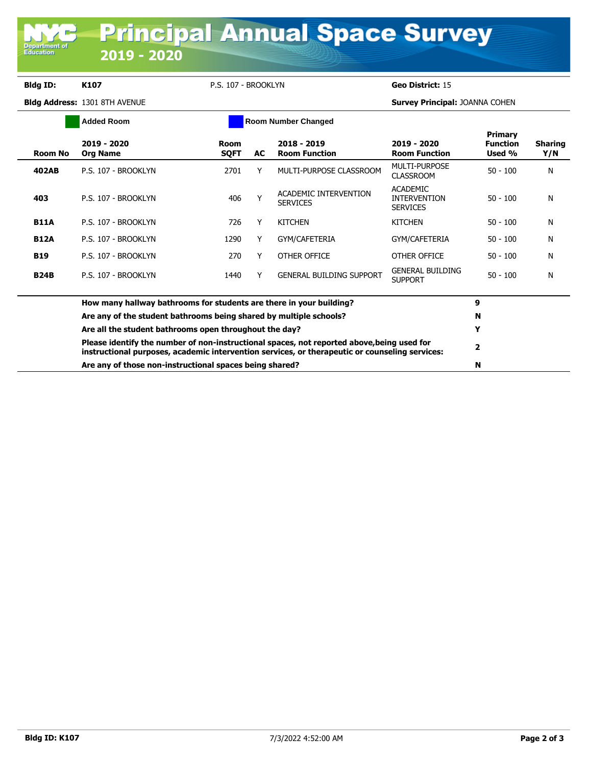## **Bldg ID: K107** P.S. 107 - BROOKLYN **Geo District:** 15

**Department of**<br>Education

**Bldg Address:** 1301 8TH AVENUE **Survey Principal:** JOANNA COHEN

|                                                                    | <b>Added Room</b>                                                                                                                                                                                                                                                                                                 |                            | <b>Room Number Changed</b> |                                          |                                                           |                                      |                       |
|--------------------------------------------------------------------|-------------------------------------------------------------------------------------------------------------------------------------------------------------------------------------------------------------------------------------------------------------------------------------------------------------------|----------------------------|----------------------------|------------------------------------------|-----------------------------------------------------------|--------------------------------------|-----------------------|
| <b>Room No</b>                                                     | 2019 - 2020<br><b>Org Name</b>                                                                                                                                                                                                                                                                                    | <b>Room</b><br><b>SQFT</b> | AC.                        | 2018 - 2019<br><b>Room Function</b>      | 2019 - 2020<br><b>Room Function</b>                       | Primary<br><b>Function</b><br>Used % | <b>Sharing</b><br>Y/N |
| 402AB                                                              | P.S. 107 - BROOKLYN                                                                                                                                                                                                                                                                                               | 2701                       |                            | MULTI-PURPOSE CLASSROOM                  | MULTI-PURPOSE<br><b>CLASSROOM</b>                         | $50 - 100$                           | N                     |
| 403                                                                | P.S. 107 - BROOKLYN                                                                                                                                                                                                                                                                                               | 406                        |                            | ACADEMIC INTERVENTION<br><b>SERVICES</b> | <b>ACADEMIC</b><br><b>INTERVENTION</b><br><b>SERVICES</b> | $50 - 100$                           | N                     |
| <b>B11A</b>                                                        | P.S. 107 - BROOKLYN                                                                                                                                                                                                                                                                                               | 726                        |                            | <b>KITCHEN</b>                           | <b>KITCHEN</b>                                            | $50 - 100$                           | N                     |
| <b>B12A</b>                                                        | P.S. 107 - BROOKLYN                                                                                                                                                                                                                                                                                               | 1290                       | Y                          | GYM/CAFETERIA                            | GYM/CAFETERIA                                             | $50 - 100$                           | N                     |
| <b>B19</b>                                                         | P.S. 107 - BROOKLYN                                                                                                                                                                                                                                                                                               | 270                        |                            | OTHER OFFICE                             | OTHER OFFICE                                              | $50 - 100$                           | N                     |
| <b>B24B</b>                                                        | P.S. 107 - BROOKLYN                                                                                                                                                                                                                                                                                               | 1440                       |                            | <b>GENERAL BUILDING SUPPORT</b>          | <b>GENERAL BUILDING</b><br><b>SUPPORT</b>                 | $50 - 100$                           | N                     |
|                                                                    | How many hallway bathrooms for students are there in your building?                                                                                                                                                                                                                                               |                            |                            |                                          |                                                           |                                      |                       |
| Are any of the student bathrooms being shared by multiple schools? |                                                                                                                                                                                                                                                                                                                   |                            |                            |                                          |                                                           | N                                    |                       |
|                                                                    | Are all the student bathrooms open throughout the day?<br>Please identify the number of non-instructional spaces, not reported above, being used for<br>instructional purposes, academic intervention services, or therapeutic or counseling services:<br>Are any of those non-instructional spaces being shared? |                            |                            |                                          |                                                           |                                      |                       |
|                                                                    |                                                                                                                                                                                                                                                                                                                   |                            |                            |                                          |                                                           |                                      |                       |
|                                                                    |                                                                                                                                                                                                                                                                                                                   |                            |                            |                                          |                                                           |                                      |                       |